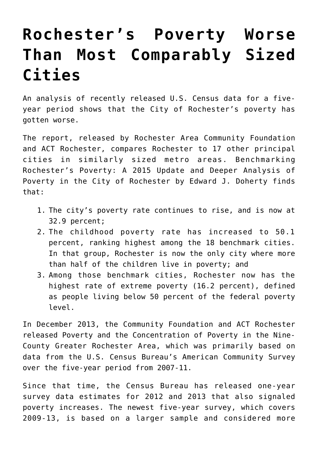## **[Rochester's Poverty Worse](https://www.racf.org/news/rochesters-poverty-worse-than-most-comparably-sized-cities/) [Than Most Comparably Sized](https://www.racf.org/news/rochesters-poverty-worse-than-most-comparably-sized-cities/) [Cities](https://www.racf.org/news/rochesters-poverty-worse-than-most-comparably-sized-cities/)**

An analysis of recently released U.S. Census data for a fiveyear period shows that the City of Rochester's poverty has gotten worse.

The report, released by Rochester Area Community Foundation and ACT Rochester, compares Rochester to 17 other principal cities in similarly sized metro areas. [Benchmarking](https://www.racf.org/wp-content/uploads/2019/10/RACF-Poverty-Report-Update-2015.pdf) [Rochester's Poverty: A 2015 Update and Deeper Analysis of](https://www.racf.org/wp-content/uploads/2019/10/RACF-Poverty-Report-Update-2015.pdf) [Poverty in the City of Rochester](https://www.racf.org/wp-content/uploads/2019/10/RACF-Poverty-Report-Update-2015.pdf) by Edward J. Doherty finds that:

- 1. The city's poverty rate continues to rise, and is now at 32.9 percent;
- 2. The childhood poverty rate has increased to 50.1 percent, ranking highest among the 18 benchmark cities. In that group, Rochester is now the only city where more than half of the children live in poverty; and
- 3. Among those benchmark cities, Rochester now has the highest rate of extreme poverty (16.2 percent), defined as people living below 50 percent of the federal poverty level.

In December 2013, the Community Foundation and ACT Rochester released [Poverty and the Concentration of Poverty in the Nine-](https://www.racf.org/wp-content/uploads/2019/10/RACF-Poverty-Report-2013-English.pdf)[County Greater Rochester Area](https://www.racf.org/wp-content/uploads/2019/10/RACF-Poverty-Report-2013-English.pdf), which was primarily based on data from the U.S. Census Bureau's American Community Survey over the five-year period from 2007-11.

Since that time, the Census Bureau has released one-year survey data estimates for 2012 and 2013 that also signaled poverty increases. The newest five-year survey, which covers 2009-13, is based on a larger sample and considered more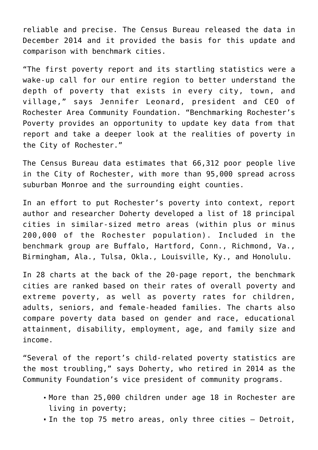reliable and precise. The Census Bureau released the data in December 2014 and it provided the basis for this update and comparison with benchmark cities.

"The first poverty report and its startling statistics were a wake-up call for our entire region to better understand the depth of poverty that exists in every city, town, and village," says Jennifer Leonard, president and CEO of Rochester Area Community Foundation. "Benchmarking Rochester's Poverty provides an opportunity to update key data from that report and take a deeper look at the realities of poverty in the City of Rochester."

The Census Bureau data estimates that 66,312 poor people live in the City of Rochester, with more than 95,000 spread across suburban Monroe and the surrounding eight counties.

In an effort to put Rochester's poverty into context, report author and researcher Doherty developed a list of 18 principal cities in similar-sized metro areas (within plus or minus 200,000 of the Rochester population). Included in the benchmark group are Buffalo, Hartford, Conn., Richmond, Va., Birmingham, Ala., Tulsa, Okla., Louisville, Ky., and Honolulu.

In 28 charts at the back of the 20-page report, the benchmark cities are ranked based on their rates of overall poverty and extreme poverty, as well as poverty rates for children, adults, seniors, and female-headed families. The charts also compare poverty data based on gender and race, educational attainment, disability, employment, age, and family size and income.

"Several of the report's child-related poverty statistics are the most troubling," says Doherty, who retired in 2014 as the Community Foundation's vice president of community programs.

- More than 25,000 children under age 18 in Rochester are living in poverty;
- In the top 75 metro areas, only three cities Detroit,